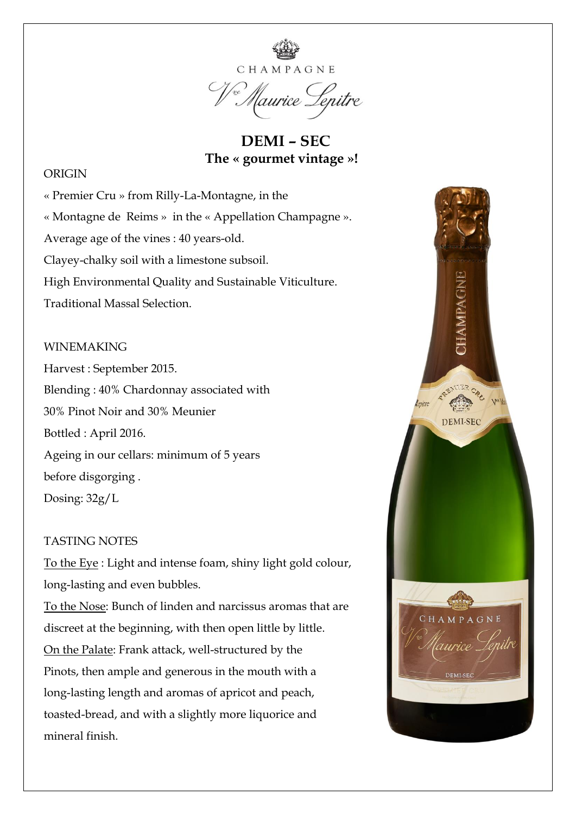

 **DEMI – SEC The « gourmet vintage »!** 

### ORIGIN

« Premier Cru » from Rilly-La-Montagne, in the « Montagne de Reims » in the « Appellation Champagne ». Average age of the vines : 40 years-old. Clayey-chalky soil with a limestone subsoil. High Environmental Quality and Sustainable Viticulture. Traditional Massal Selection.

#### WINEMAKING

Harvest : September 2015. Blending : 40% Chardonnay associated with 30% Pinot Noir and 30% Meunier Bottled : April 2016. Ageing in our cellars: minimum of 5 years before disgorging . Dosing: 32g/L

## TASTING NOTES

To the Eye : Light and intense foam, shiny light gold colour, long-lasting and even bubbles.

To the Nose: Bunch of linden and narcissus aromas that are discreet at the beginning, with then open little by little. On the Palate: Frank attack, well-structured by the Pinots, then ample and generous in the mouth with a long-lasting length and aromas of apricot and peach, toasted-bread, and with a slightly more liquorice and mineral finish.